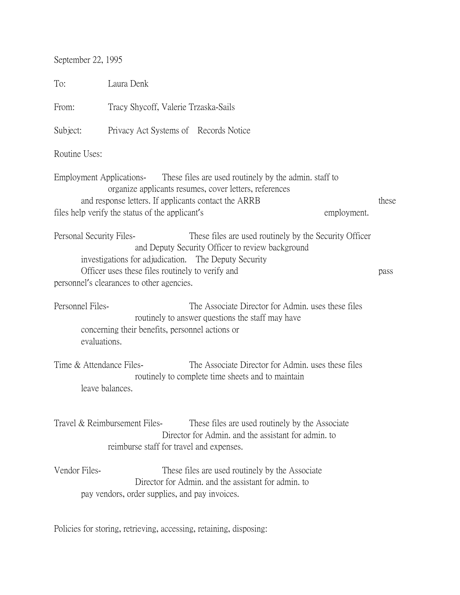September 22, 1995

| To:                                                                | Laura Denk                                                                                                                                                                                                                                                            |       |
|--------------------------------------------------------------------|-----------------------------------------------------------------------------------------------------------------------------------------------------------------------------------------------------------------------------------------------------------------------|-------|
| From:                                                              | Tracy Shycoff, Valerie Trzaska-Sails                                                                                                                                                                                                                                  |       |
| Subject:                                                           | Privacy Act Systems of Records Notice                                                                                                                                                                                                                                 |       |
| Routine Uses:                                                      |                                                                                                                                                                                                                                                                       |       |
|                                                                    | Employment Applications-<br>These files are used routinely by the admin. staff to<br>organize applicants resumes, cover letters, references<br>and response letters. If applicants contact the ARRB<br>files help verify the status of the applicant's<br>employment. | these |
| Personal Security Files-                                           | These files are used routinely by the Security Officer<br>and Deputy Security Officer to review background<br>investigations for adjudication. The Deputy Security<br>Officer uses these files routinely to verify and<br>personnel's clearances to other agencies.   | pass  |
| Personnel Files-<br>evaluations.                                   | The Associate Director for Admin. uses these files<br>routinely to answer questions the staff may have<br>concerning their benefits, personnel actions or                                                                                                             |       |
| Time & Attendance Files-                                           | The Associate Director for Admin. uses these files<br>routinely to complete time sheets and to maintain<br>leave balances.                                                                                                                                            |       |
|                                                                    | Travel & Reimbursement Files-<br>These files are used routinely by the Associate<br>Director for Admin, and the assistant for admin, to<br>reimburse staff for travel and expenses.                                                                                   |       |
| Vendor Files-                                                      | These files are used routinely by the Associate<br>Director for Admin. and the assistant for admin. to<br>pay vendors, order supplies, and pay invoices.                                                                                                              |       |
| Policies for storing, retrieving, accessing, retaining, disposing: |                                                                                                                                                                                                                                                                       |       |